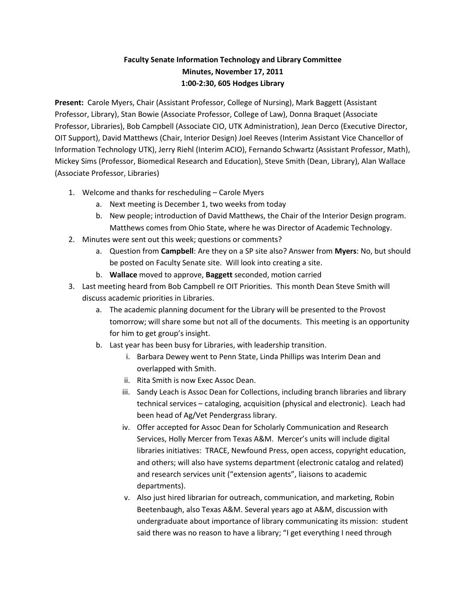# **Faculty Senate Information Technology and Library Committee Minutes, November 17, 2011 1:00-2:30, 605 Hodges Library**

**Present:** Carole Myers, Chair (Assistant Professor, College of Nursing), Mark Baggett (Assistant Professor, Library), Stan Bowie (Associate Professor, College of Law), Donna Braquet (Associate Professor, Libraries), Bob Campbell (Associate CIO, UTK Administration), Jean Derco (Executive Director, OIT Support), David Matthews (Chair, Interior Design) Joel Reeves (Interim Assistant Vice Chancellor of Information Technology UTK), Jerry Riehl (Interim ACIO), Fernando Schwartz (Assistant Professor, Math), Mickey Sims (Professor, Biomedical Research and Education), Steve Smith (Dean, Library), Alan Wallace (Associate Professor, Libraries)

- 1. Welcome and thanks for rescheduling Carole Myers
	- a. Next meeting is December 1, two weeks from today
	- b. New people; introduction of David Matthews, the Chair of the Interior Design program. Matthews comes from Ohio State, where he was Director of Academic Technology.
- 2. Minutes were sent out this week; questions or comments?
	- a. Question from **Campbell**: Are they on a SP site also? Answer from **Myers**: No, but should be posted on Faculty Senate site. Will look into creating a site.
	- b. **Wallace** moved to approve, **Baggett** seconded, motion carried
- 3. Last meeting heard from Bob Campbell re OIT Priorities. This month Dean Steve Smith will discuss academic priorities in Libraries.
	- a. The academic planning document for the Library will be presented to the Provost tomorrow; will share some but not all of the documents. This meeting is an opportunity for him to get group's insight.
	- b. Last year has been busy for Libraries, with leadership transition.
		- i. Barbara Dewey went to Penn State, Linda Phillips was Interim Dean and overlapped with Smith.
		- ii. Rita Smith is now Exec Assoc Dean.
		- iii. Sandy Leach is Assoc Dean for Collections, including branch libraries and library technical services – cataloging, acquisition (physical and electronic). Leach had been head of Ag/Vet Pendergrass library.
		- iv. Offer accepted for Assoc Dean for Scholarly Communication and Research Services, Holly Mercer from Texas A&M. Mercer's units will include digital libraries initiatives: TRACE, Newfound Press, open access, copyright education, and others; will also have systems department (electronic catalog and related) and research services unit ("extension agents", liaisons to academic departments).
		- v. Also just hired librarian for outreach, communication, and marketing, Robin Beetenbaugh, also Texas A&M. Several years ago at A&M, discussion with undergraduate about importance of library communicating its mission: student said there was no reason to have a library; "I get everything I need through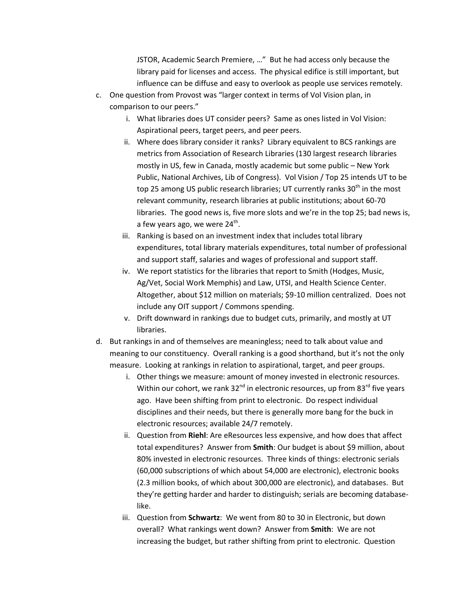JSTOR, Academic Search Premiere, …" But he had access only because the library paid for licenses and access. The physical edifice is still important, but influence can be diffuse and easy to overlook as people use services remotely.

- c. One question from Provost was "larger context in terms of Vol Vision plan, in comparison to our peers."
	- i. What libraries does UT consider peers? Same as ones listed in Vol Vision: Aspirational peers, target peers, and peer peers.
	- ii. Where does library consider it ranks? Library equivalent to BCS rankings are metrics from Association of Research Libraries (130 largest research libraries mostly in US, few in Canada, mostly academic but some public – New York Public, National Archives, Lib of Congress). Vol Vision / Top 25 intends UT to be top 25 among US public research libraries; UT currently ranks  $30<sup>th</sup>$  in the most relevant community, research libraries at public institutions; about 60-70 libraries. The good news is, five more slots and we're in the top 25; bad news is, a few years ago, we were 24<sup>th</sup>.
	- iii. Ranking is based on an investment index that includes total library expenditures, total library materials expenditures, total number of professional and support staff, salaries and wages of professional and support staff.
	- iv. We report statistics for the libraries that report to Smith (Hodges, Music, Ag/Vet, Social Work Memphis) and Law, UTSI, and Health Science Center. Altogether, about \$12 million on materials; \$9-10 million centralized. Does not include any OIT support / Commons spending.
	- v. Drift downward in rankings due to budget cuts, primarily, and mostly at UT libraries.
- d. But rankings in and of themselves are meaningless; need to talk about value and meaning to our constituency. Overall ranking is a good shorthand, but it's not the only measure. Looking at rankings in relation to aspirational, target, and peer groups.
	- i. Other things we measure: amount of money invested in electronic resources. Within our cohort, we rank 32 $^{nd}$  in electronic resources, up from 83 $^{rd}$  five years ago. Have been shifting from print to electronic. Do respect individual disciplines and their needs, but there is generally more bang for the buck in electronic resources; available 24/7 remotely.
	- ii. Question from **Riehl**: Are eResources less expensive, and how does that affect total expenditures? Answer from **Smith**: Our budget is about \$9 million, about 80% invested in electronic resources. Three kinds of things: electronic serials (60,000 subscriptions of which about 54,000 are electronic), electronic books (2.3 million books, of which about 300,000 are electronic), and databases. But they're getting harder and harder to distinguish; serials are becoming databaselike.
	- iii. Question from **Schwartz**: We went from 80 to 30 in Electronic, but down overall? What rankings went down? Answer from **Smith**: We are not increasing the budget, but rather shifting from print to electronic. Question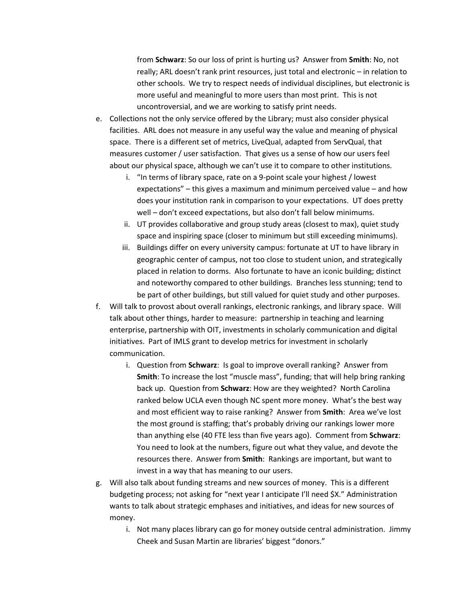from **Schwarz**: So our loss of print is hurting us? Answer from **Smith**: No, not really; ARL doesn't rank print resources, just total and electronic – in relation to other schools. We try to respect needs of individual disciplines, but electronic is more useful and meaningful to more users than most print. This is not uncontroversial, and we are working to satisfy print needs.

- e. Collections not the only service offered by the Library; must also consider physical facilities. ARL does not measure in any useful way the value and meaning of physical space. There is a different set of metrics, LiveQual, adapted from ServQual, that measures customer / user satisfaction. That gives us a sense of how our users feel about our physical space, although we can't use it to compare to other institutions.
	- i. "In terms of library space, rate on a 9-point scale your highest / lowest expectations" – this gives a maximum and minimum perceived value – and how does your institution rank in comparison to your expectations. UT does pretty well – don't exceed expectations, but also don't fall below minimums.
	- ii. UT provides collaborative and group study areas (closest to max), quiet study space and inspiring space (closer to minimum but still exceeding minimums).
	- iii. Buildings differ on every university campus: fortunate at UT to have library in geographic center of campus, not too close to student union, and strategically placed in relation to dorms. Also fortunate to have an iconic building; distinct and noteworthy compared to other buildings. Branches less stunning; tend to be part of other buildings, but still valued for quiet study and other purposes.
- f. Will talk to provost about overall rankings, electronic rankings, and library space. Will talk about other things, harder to measure: partnership in teaching and learning enterprise, partnership with OIT, investments in scholarly communication and digital initiatives. Part of IMLS grant to develop metrics for investment in scholarly communication.
	- i. Question from **Schwarz**: Is goal to improve overall ranking? Answer from **Smith**: To increase the lost "muscle mass", funding; that will help bring ranking back up. Question from **Schwarz**: How are they weighted? North Carolina ranked below UCLA even though NC spent more money. What's the best way and most efficient way to raise ranking? Answer from **Smith**: Area we've lost the most ground is staffing; that's probably driving our rankings lower more than anything else (40 FTE less than five years ago). Comment from **Schwarz**: You need to look at the numbers, figure out what they value, and devote the resources there. Answer from **Smith**: Rankings are important, but want to invest in a way that has meaning to our users.
- g. Will also talk about funding streams and new sources of money. This is a different budgeting process; not asking for "next year I anticipate I'll need \$X." Administration wants to talk about strategic emphases and initiatives, and ideas for new sources of money.
	- i. Not many places library can go for money outside central administration. Jimmy Cheek and Susan Martin are libraries' biggest "donors."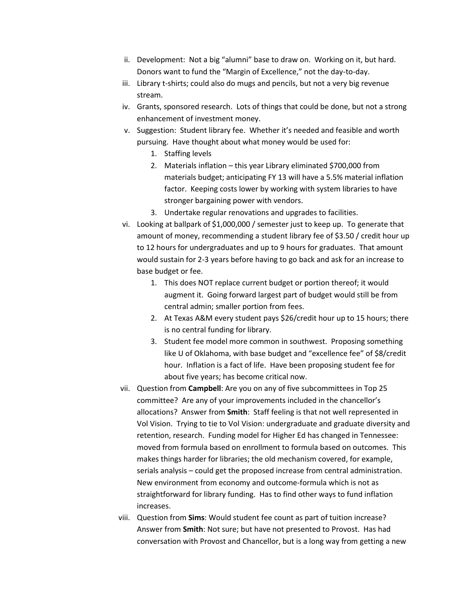- ii. Development: Not a big "alumni" base to draw on. Working on it, but hard. Donors want to fund the "Margin of Excellence," not the day-to-day.
- iii. Library t-shirts; could also do mugs and pencils, but not a very big revenue stream.
- iv. Grants, sponsored research. Lots of things that could be done, but not a strong enhancement of investment money.
- v. Suggestion: Student library fee. Whether it's needed and feasible and worth pursuing. Have thought about what money would be used for:
	- 1. Staffing levels
	- 2. Materials inflation this year Library eliminated \$700,000 from materials budget; anticipating FY 13 will have a 5.5% material inflation factor. Keeping costs lower by working with system libraries to have stronger bargaining power with vendors.
	- 3. Undertake regular renovations and upgrades to facilities.
- vi. Looking at ballpark of \$1,000,000 / semester just to keep up. To generate that amount of money, recommending a student library fee of \$3.50 / credit hour up to 12 hours for undergraduates and up to 9 hours for graduates. That amount would sustain for 2-3 years before having to go back and ask for an increase to base budget or fee.
	- 1. This does NOT replace current budget or portion thereof; it would augment it. Going forward largest part of budget would still be from central admin; smaller portion from fees.
	- 2. At Texas A&M every student pays \$26/credit hour up to 15 hours; there is no central funding for library.
	- 3. Student fee model more common in southwest. Proposing something like U of Oklahoma, with base budget and "excellence fee" of \$8/credit hour. Inflation is a fact of life. Have been proposing student fee for about five years; has become critical now.
- vii. Question from **Campbell**: Are you on any of five subcommittees in Top 25 committee? Are any of your improvements included in the chancellor's allocations? Answer from **Smith**: Staff feeling is that not well represented in Vol Vision. Trying to tie to Vol Vision: undergraduate and graduate diversity and retention, research. Funding model for Higher Ed has changed in Tennessee: moved from formula based on enrollment to formula based on outcomes. This makes things harder for libraries; the old mechanism covered, for example, serials analysis – could get the proposed increase from central administration. New environment from economy and outcome-formula which is not as straightforward for library funding. Has to find other ways to fund inflation increases.
- viii. Question from **Sims**: Would student fee count as part of tuition increase? Answer from **Smith**: Not sure; but have not presented to Provost. Has had conversation with Provost and Chancellor, but is a long way from getting a new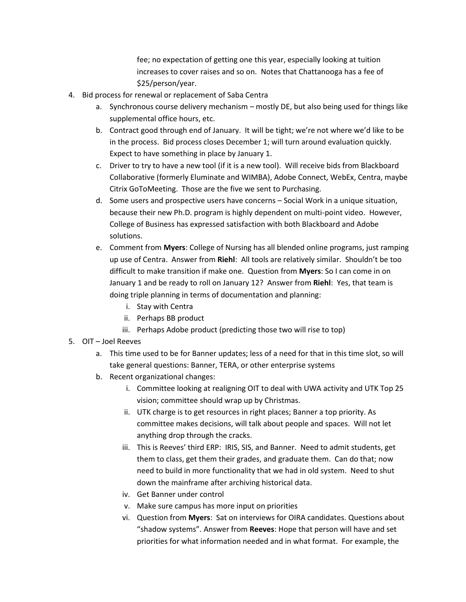fee; no expectation of getting one this year, especially looking at tuition increases to cover raises and so on. Notes that Chattanooga has a fee of \$25/person/year.

- 4. Bid process for renewal or replacement of Saba Centra
	- a. Synchronous course delivery mechanism mostly DE, but also being used for things like supplemental office hours, etc.
	- b. Contract good through end of January. It will be tight; we're not where we'd like to be in the process. Bid process closes December 1; will turn around evaluation quickly. Expect to have something in place by January 1.
	- c. Driver to try to have a new tool (if it is a new tool). Will receive bids from Blackboard Collaborative (formerly Eluminate and WIMBA), Adobe Connect, WebEx, Centra, maybe Citrix GoToMeeting. Those are the five we sent to Purchasing.
	- d. Some users and prospective users have concerns Social Work in a unique situation, because their new Ph.D. program is highly dependent on multi-point video. However, College of Business has expressed satisfaction with both Blackboard and Adobe solutions.
	- e. Comment from **Myers**: College of Nursing has all blended online programs, just ramping up use of Centra. Answer from **Riehl**: All tools are relatively similar. Shouldn't be too difficult to make transition if make one. Question from **Myers**: So I can come in on January 1 and be ready to roll on January 12? Answer from **Riehl**: Yes, that team is doing triple planning in terms of documentation and planning:
		- i. Stay with Centra
		- ii. Perhaps BB product
		- iii. Perhaps Adobe product (predicting those two will rise to top)
- 5. OIT Joel Reeves
	- a. This time used to be for Banner updates; less of a need for that in this time slot, so will take general questions: Banner, TERA, or other enterprise systems
	- b. Recent organizational changes:
		- i. Committee looking at realigning OIT to deal with UWA activity and UTK Top 25 vision; committee should wrap up by Christmas.
		- ii. UTK charge is to get resources in right places; Banner a top priority. As committee makes decisions, will talk about people and spaces. Will not let anything drop through the cracks.
		- iii. This is Reeves' third ERP: IRIS, SIS, and Banner. Need to admit students, get them to class, get them their grades, and graduate them. Can do that; now need to build in more functionality that we had in old system. Need to shut down the mainframe after archiving historical data.
		- iv. Get Banner under control
		- v. Make sure campus has more input on priorities
		- vi. Question from **Myers**: Sat on interviews for OIRA candidates. Questions about "shadow systems". Answer from **Reeves**: Hope that person will have and set priorities for what information needed and in what format. For example, the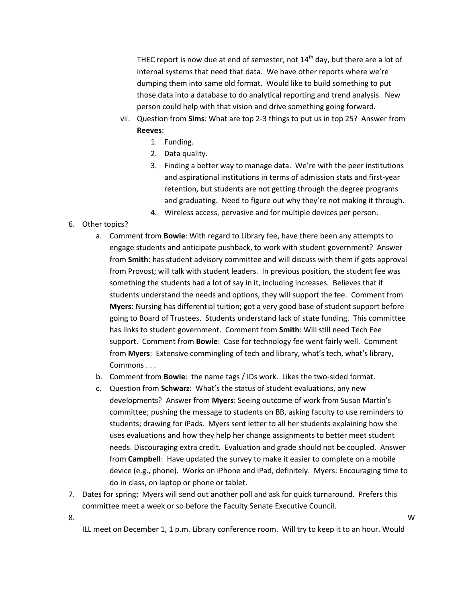THEC report is now due at end of semester, not  $14<sup>th</sup>$  day, but there are a lot of internal systems that need that data. We have other reports where we're dumping them into same old format. Would like to build something to put those data into a database to do analytical reporting and trend analysis. New person could help with that vision and drive something going forward.

- vii. Question from **Sims**: What are top 2-3 things to put us in top 25? Answer from **Reeves**:
	- 1. Funding.
	- 2. Data quality.
	- 3. Finding a better way to manage data. We're with the peer institutions and aspirational institutions in terms of admission stats and first-year retention, but students are not getting through the degree programs and graduating. Need to figure out why they're not making it through.
	- 4. Wireless access, pervasive and for multiple devices per person.
- 6. Other topics?
	- a. Comment from **Bowie**: With regard to Library fee, have there been any attempts to engage students and anticipate pushback, to work with student government? Answer from **Smith**: has student advisory committee and will discuss with them if gets approval from Provost; will talk with student leaders. In previous position, the student fee was something the students had a lot of say in it, including increases. Believes that if students understand the needs and options, they will support the fee. Comment from **Myers**: Nursing has differential tuition; got a very good base of student support before going to Board of Trustees. Students understand lack of state funding. This committee has links to student government. Comment from **Smith**: Will still need Tech Fee support. Comment from **Bowie**: Case for technology fee went fairly well. Comment from **Myers**: Extensive commingling of tech and library, what's tech, what's library, Commons . . .
	- b. Comment from **Bowie**: the name tags / IDs work. Likes the two-sided format.
	- c. Question from **Schwarz**: What's the status of student evaluations, any new developments? Answer from **Myers**: Seeing outcome of work from Susan Martin's committee; pushing the message to students on BB, asking faculty to use reminders to students; drawing for iPads. Myers sent letter to all her students explaining how she uses evaluations and how they help her change assignments to better meet student needs. Discouraging extra credit. Evaluation and grade should not be coupled. Answer from **Campbell**: Have updated the survey to make it easier to complete on a mobile device (e.g., phone). Works on iPhone and iPad, definitely. Myers: Encouraging time to do in class, on laptop or phone or tablet.
- 7. Dates for spring: Myers will send out another poll and ask for quick turnaround. Prefers this committee meet a week or so before the Faculty Senate Executive Council.

ILL meet on December 1, 1 p.m. Library conference room. Will try to keep it to an hour. Would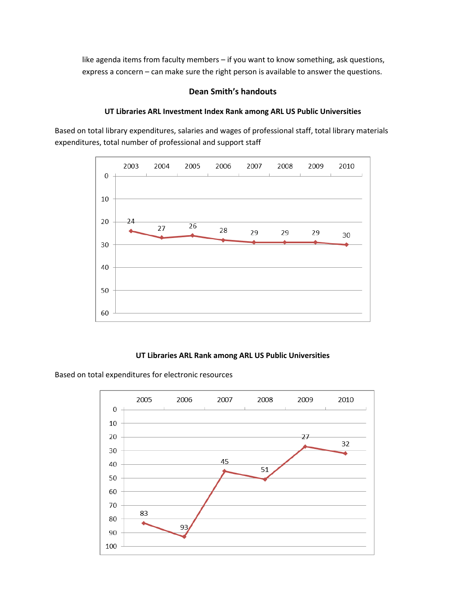like agenda items from faculty members – if you want to know something, ask questions, express a concern – can make sure the right person is available to answer the questions.

### **Dean Smith's handouts**

## **UT Libraries ARL Investment Index Rank among ARL US Public Universities**

Based on total library expenditures, salaries and wages of professional staff, total library materials expenditures, total number of professional and support staff



### **UT Libraries ARL Rank among ARL US Public Universities**

Based on total expenditures for electronic resources